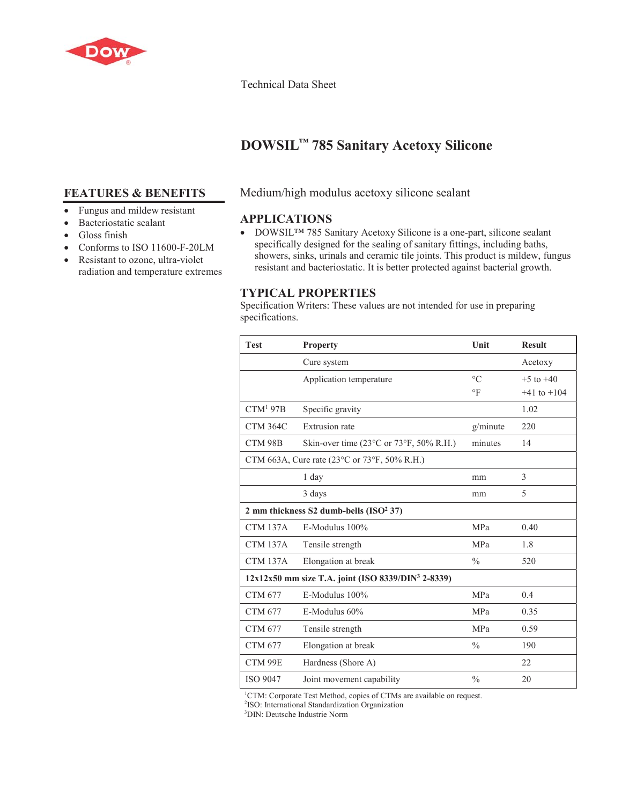

#### Technical Data Sheet

# **DOWSIL™ 785 Sanitary Acetoxy Silicone**

## **FEATURES & BENEFITS**

- Fungus and mildew resistant
- Bacteriostatic sealant
- Gloss finish
- $\bullet$  Conforms to ISO 11600-F-20LM
- Resistant to ozone, ultra-violet radiation and temperature extremes

### Medium/high modulus acetoxy silicone sealant

## **APPLICATIONS**

• DOWSIL<sup>TM</sup> 785 Sanitary Acetoxy Silicone is a one-part, silicone sealant specifically designed for the sealing of sanitary fittings, including baths, showers, sinks, urinals and ceramic tile joints. This product is mildew, fungus resistant and bacteriostatic. It is better protected against bacterial growth.

## **TYPICAL PROPERTIES**

Specification Writers: These values are not intended for use in preparing specifications.

| <b>Test</b>                                                      | <b>Property</b>                                             | Unit          | <b>Result</b>   |
|------------------------------------------------------------------|-------------------------------------------------------------|---------------|-----------------|
|                                                                  | Cure system                                                 |               | Acetoxy         |
|                                                                  | Application temperature                                     | $\circ$ C     | $+5$ to $+40$   |
|                                                                  |                                                             | $\circ$ F     | $+41$ to $+104$ |
| CTM <sup>1</sup> 97B                                             | Specific gravity                                            |               | 1.02            |
| <b>CTM 364C</b>                                                  | <b>Extrusion</b> rate                                       | g/minute      | 220             |
| CTM 98B                                                          | Skin-over time $(23^{\circ}$ C or $73^{\circ}$ F, 50% R.H.) | minutes       | 14              |
| CTM 663A, Cure rate ( $23^{\circ}$ C or 73°F, 50% R.H.)          |                                                             |               |                 |
|                                                                  | 1 day                                                       | mm            | 3               |
|                                                                  | 3 days                                                      | mm            | 5               |
| 2 mm thickness S2 dumb-bells $(ISO2 37)$                         |                                                             |               |                 |
| <b>CTM 137A</b>                                                  | E-Modulus 100%                                              | <b>MPa</b>    | 0.40            |
| <b>CTM 137A</b>                                                  | Tensile strength                                            | <b>MPa</b>    | 1.8             |
| <b>CTM 137A</b>                                                  | Elongation at break                                         | $\frac{0}{0}$ | 520             |
| $12x12x50$ mm size T.A. joint (ISO 8339/DIN <sup>3</sup> 2-8339) |                                                             |               |                 |
| <b>CTM 677</b>                                                   | E-Modulus 100%                                              | <b>MPa</b>    | 0.4             |
| <b>CTM 677</b>                                                   | E-Modulus 60%                                               | <b>MPa</b>    | 0.35            |
| <b>CTM 677</b>                                                   | Tensile strength                                            | MPa           | 0.59            |
| <b>CTM 677</b>                                                   | Elongation at break                                         | $\frac{0}{0}$ | 190             |
| CTM 99E                                                          | Hardness (Shore A)                                          |               | 22              |
| <b>ISO 9047</b>                                                  | Joint movement capability                                   | $\frac{0}{0}$ | 20              |

<sup>1</sup>CTM: Corporate Test Method, copies of CTMs are available on request.

2 ISO: International Standardization Organization

3 DIN: Deutsche Industrie Norm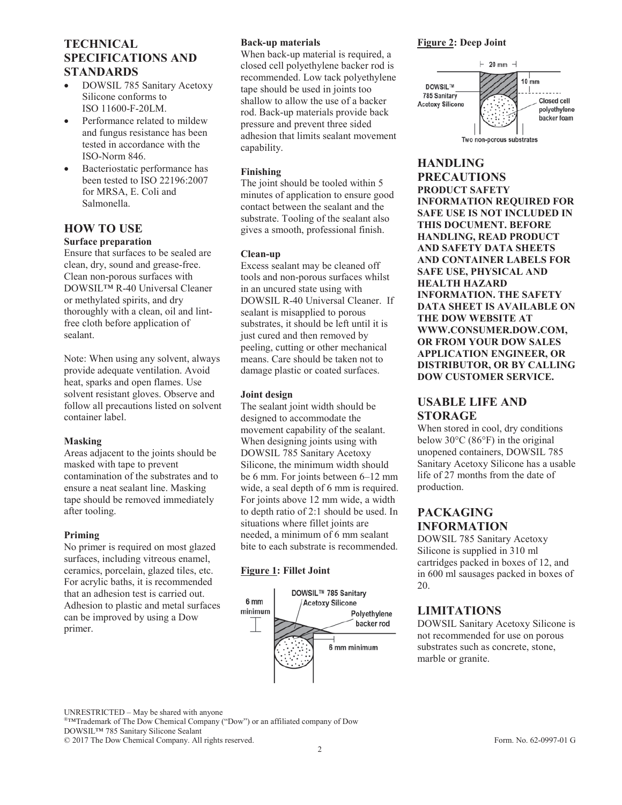## **TECHNICAL SPECIFICATIONS AND STANDARDS**

- DOWSIL 785 Sanitary Acetoxy Silicone conforms to ISO 11600-F-20LM.
- Performance related to mildew and fungus resistance has been tested in accordance with the ISO-Norm 846.
- Bacteriostatic performance has been tested to ISO 22196:2007 for MRSA, E. Coli and Salmonella.

## **HOW TO USE**

## **Surface preparation**

Ensure that surfaces to be sealed are clean, dry, sound and grease-free. Clean non-porous surfaces with DOWSIL™ R-40 Universal Cleaner or methylated spirits, and dry thoroughly with a clean, oil and lintfree cloth before application of sealant.

Note: When using any solvent, always provide adequate ventilation. Avoid heat, sparks and open flames. Use solvent resistant gloves. Observe and follow all precautions listed on solvent container label.

#### **Masking**

Areas adjacent to the joints should be masked with tape to prevent contamination of the substrates and to ensure a neat sealant line. Masking tape should be removed immediately after tooling.

#### **Priming**

No primer is required on most glazed surfaces, including vitreous enamel, ceramics, porcelain, glazed tiles, etc. For acrylic baths, it is recommended that an adhesion test is carried out. Adhesion to plastic and metal surfaces can be improved by using a Dow primer.

#### **Back-up materials**

When back-up material is required, a closed cell polyethylene backer rod is recommended. Low tack polyethylene tape should be used in joints too shallow to allow the use of a backer rod. Back-up materials provide back pressure and prevent three sided adhesion that limits sealant movement capability.

#### **Finishing**

The joint should be tooled within 5 minutes of application to ensure good contact between the sealant and the substrate. Tooling of the sealant also gives a smooth, professional finish.

#### **Clean-up**

Excess sealant may be cleaned off tools and non-porous surfaces whilst in an uncured state using with DOWSIL R-40 Universal Cleaner. If sealant is misapplied to porous substrates, it should be left until it is just cured and then removed by peeling, cutting or other mechanical means. Care should be taken not to damage plastic or coated surfaces.

#### **Joint design**

The sealant joint width should be designed to accommodate the movement capability of the sealant. When designing joints using with DOWSIL 785 Sanitary Acetoxy Silicone, the minimum width should be 6 mm. For joints between 6–12 mm wide, a seal depth of 6 mm is required. For joints above 12 mm wide, a width to depth ratio of 2:1 should be used. In situations where fillet joints are needed, a minimum of 6 mm sealant bite to each substrate is recommended.

#### **Figure 1: Fillet Joint**



#### **Figure 2: Deep Joint**



# **HANDLING**

**PRECAUTIONS PRODUCT SAFETY INFORMATION REQUIRED FOR SAFE USE IS NOT INCLUDED IN THIS DOCUMENT. BEFORE HANDLING, READ PRODUCT AND SAFETY DATA SHEETS AND CONTAINER LABELS FOR SAFE USE, PHYSICAL AND HEALTH HAZARD INFORMATION. THE SAFETY DATA SHEET IS AVAILABLE ON THE DOW WEBSITE AT WWW.CONSUMER.DOW.COM, OR FROM YOUR DOW SALES APPLICATION ENGINEER, OR DISTRIBUTOR, OR BY CALLING DOW CUSTOMER SERVICE.**

## **USABLE LIFE AND STORAGE**

When stored in cool, dry conditions below 30°C (86°F) in the original unopened containers, DOWSIL 785 Sanitary Acetoxy Silicone has a usable life of 27 months from the date of production.

## **PACKAGING INFORMATION**

DOWSIL 785 Sanitary Acetoxy Silicone is supplied in 310 ml cartridges packed in boxes of 12, and in 600 ml sausages packed in boxes of 20.

## **LIMITATIONS**

DOWSIL Sanitary Acetoxy Silicone is not recommended for use on porous substrates such as concrete, stone, marble or granite.

UNRESTRICTED – May be shared with anyone

®™Trademark of The Dow Chemical Company ("Dow") or an affiliated company of Dow DOWSIL™ 785 Sanitary Silicone Sealant

© 2017 The Dow Chemical Company. All rights reserved. Form. No. 62-0997-01 G